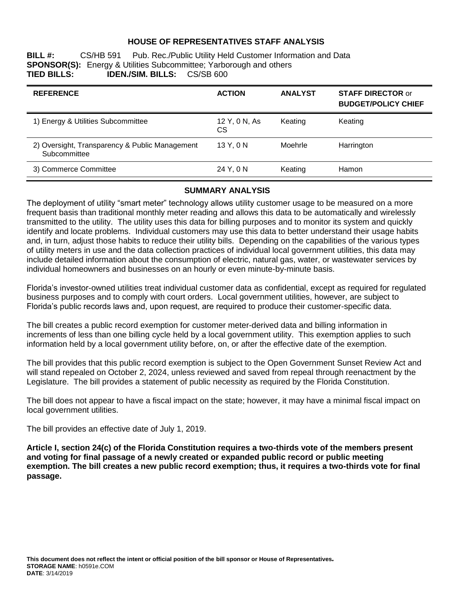## **HOUSE OF REPRESENTATIVES STAFF ANALYSIS**

**BILL #:** CS/HB 591 Pub. Rec./Public Utility Held Customer Information and Data **SPONSOR(S):** Energy & Utilities Subcommittee; Yarborough and others<br>**TIED BILLS: IDEN./SIM. BILLS:** CS/SB 600 **TIED BILLS: IDEN./SIM. BILLS:** CS/SB 600

| <b>REFERENCE</b>                                               | <b>ACTION</b>       | <b>ANALYST</b> | <b>STAFF DIRECTOR or</b><br><b>BUDGET/POLICY CHIEF</b> |
|----------------------------------------------------------------|---------------------|----------------|--------------------------------------------------------|
| 1) Energy & Utilities Subcommittee                             | 12 Y, 0 N, As<br>CS | Keating        | Keating                                                |
| 2) Oversight, Transparency & Public Management<br>Subcommittee | 13 Y, 0 N           | Moehrle        | Harrington                                             |
| 3) Commerce Committee                                          | 24 Y, 0 N           | Keating        | Hamon                                                  |

### **SUMMARY ANALYSIS**

The deployment of utility "smart meter" technology allows utility customer usage to be measured on a more frequent basis than traditional monthly meter reading and allows this data to be automatically and wirelessly transmitted to the utility. The utility uses this data for billing purposes and to monitor its system and quickly identify and locate problems. Individual customers may use this data to better understand their usage habits and, in turn, adjust those habits to reduce their utility bills. Depending on the capabilities of the various types of utility meters in use and the data collection practices of individual local government utilities, this data may include detailed information about the consumption of electric, natural gas, water, or wastewater services by individual homeowners and businesses on an hourly or even minute-by-minute basis.

Florida's investor-owned utilities treat individual customer data as confidential, except as required for regulated business purposes and to comply with court orders. Local government utilities, however, are subject to Florida's public records laws and, upon request, are required to produce their customer-specific data.

The bill creates a public record exemption for customer meter-derived data and billing information in increments of less than one billing cycle held by a local government utility. This exemption applies to such information held by a local government utility before, on, or after the effective date of the exemption.

The bill provides that this public record exemption is subject to the Open Government Sunset Review Act and will stand repealed on October 2, 2024, unless reviewed and saved from repeal through reenactment by the Legislature. The bill provides a statement of public necessity as required by the Florida Constitution.

The bill does not appear to have a fiscal impact on the state; however, it may have a minimal fiscal impact on local government utilities.

The bill provides an effective date of July 1, 2019.

**Article I, section 24(c) of the Florida Constitution requires a two-thirds vote of the members present and voting for final passage of a newly created or expanded public record or public meeting exemption. The bill creates a new public record exemption; thus, it requires a two-thirds vote for final passage.**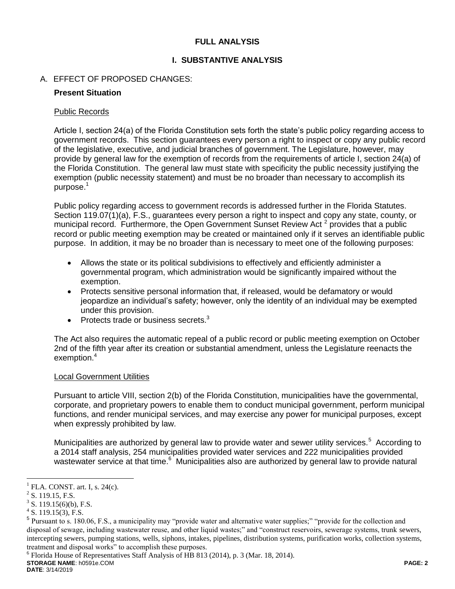## **FULL ANALYSIS**

# **I. SUBSTANTIVE ANALYSIS**

# A. EFFECT OF PROPOSED CHANGES:

## **Present Situation**

## Public Records

Article I, section 24(a) of the Florida Constitution sets forth the state's public policy regarding access to government records. This section guarantees every person a right to inspect or copy any public record of the legislative, executive, and judicial branches of government. The Legislature, however, may provide by general law for the exemption of records from the requirements of article I, section 24(a) of the Florida Constitution. The general law must state with specificity the public necessity justifying the exemption (public necessity statement) and must be no broader than necessary to accomplish its purpose.<sup>1</sup>

Public policy regarding access to government records is addressed further in the Florida Statutes. Section 119.07(1)(a), F.S., guarantees every person a right to inspect and copy any state, county, or municipal record. Furthermore, the Open Government Sunset Review Act<sup>2</sup> provides that a public record or public meeting exemption may be created or maintained only if it serves an identifiable public purpose. In addition, it may be no broader than is necessary to meet one of the following purposes:

- Allows the state or its political subdivisions to effectively and efficiently administer a governmental program, which administration would be significantly impaired without the exemption.
- Protects sensitive personal information that, if released, would be defamatory or would jeopardize an individual's safety; however, only the identity of an individual may be exempted under this provision.
- Protects trade or business secrets. $3$

The Act also requires the automatic repeal of a public record or public meeting exemption on October 2nd of the fifth year after its creation or substantial amendment, unless the Legislature reenacts the exemption.<sup>4</sup>

## Local Government Utilities

Pursuant to article VIII, section 2(b) of the Florida Constitution, municipalities have the governmental, corporate, and proprietary powers to enable them to conduct municipal government, perform municipal functions, and render municipal services, and may exercise any power for municipal purposes, except when expressly prohibited by law.

Municipalities are authorized by general law to provide water and sewer utility services.<sup>5</sup> According to a 2014 staff analysis, 254 municipalities provided water services and 222 municipalities provided wastewater service at that time.<sup>6</sup> Municipalities also are authorized by general law to provide natural

 $\overline{a}$ 

**STORAGE NAME**: h0591e.COM **PAGE: 2** <sup>6</sup> Florida House of Representatives Staff Analysis of HB 813 (2014), p. 3 (Mar. 18, 2014).

**DATE**: 3/14/2019

<sup>1</sup> FLA. CONST. art. I, s. 24(c).

 $2$  S. 119.15, F.S.

 $3^3$  S. 119.15(6)(b), F.S.

 $4$  S. 119.15(3), F.S.

<sup>&</sup>lt;sup>5</sup> Pursuant to s. 180.06, F.S., a municipality may "provide water and alternative water supplies;" "provide for the collection and disposal of sewage, including wastewater reuse, and other liquid wastes;" and "construct reservoirs, sewerage systems, trunk sewers, intercepting sewers, pumping stations, wells, siphons, intakes, pipelines, distribution systems, purification works, collection systems, treatment and disposal works" to accomplish these purposes.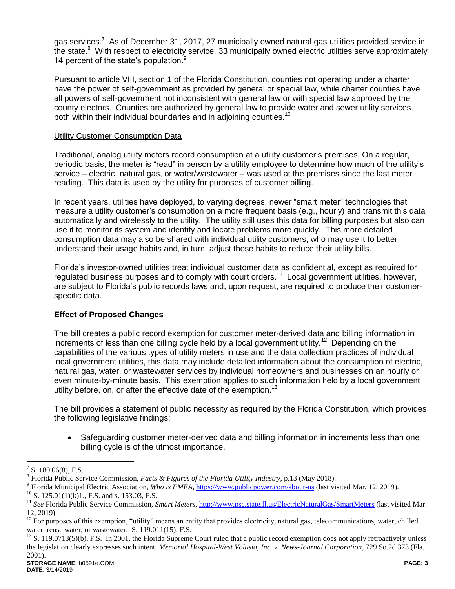gas services.<sup>7</sup> As of December 31, 2017, 27 municipally owned natural gas utilities provided service in the state.<sup>8</sup> With respect to electricity service, 33 municipally owned electric utilities serve approximately 14 percent of the state's population.<sup>9</sup>

Pursuant to article VIII, section 1 of the Florida Constitution, counties not operating under a charter have the power of self-government as provided by general or special law, while charter counties have all powers of self-government not inconsistent with general law or with special law approved by the county electors. Counties are authorized by general law to provide water and sewer utility services both within their individual boundaries and in adioining counties.<sup>10</sup>

### Utility Customer Consumption Data

Traditional, analog utility meters record consumption at a utility customer's premises. On a regular, periodic basis, the meter is "read" in person by a utility employee to determine how much of the utility's service – electric, natural gas, or water/wastewater – was used at the premises since the last meter reading. This data is used by the utility for purposes of customer billing.

In recent years, utilities have deployed, to varying degrees, newer "smart meter" technologies that measure a utility customer's consumption on a more frequent basis (e.g., hourly) and transmit this data automatically and wirelessly to the utility. The utility still uses this data for billing purposes but also can use it to monitor its system and identify and locate problems more quickly. This more detailed consumption data may also be shared with individual utility customers, who may use it to better understand their usage habits and, in turn, adjust those habits to reduce their utility bills.

Florida's investor-owned utilities treat individual customer data as confidential, except as required for regulated business purposes and to comply with court orders.<sup>11</sup> Local government utilities, however, are subject to Florida's public records laws and, upon request, are required to produce their customerspecific data.

# **Effect of Proposed Changes**

The bill creates a public record exemption for customer meter-derived data and billing information in increments of less than one billing cycle held by a local government utility.<sup>12</sup> Depending on the capabilities of the various types of utility meters in use and the data collection practices of individual local government utilities, this data may include detailed information about the consumption of electric, natural gas, water, or wastewater services by individual homeowners and businesses on an hourly or even minute-by-minute basis. This exemption applies to such information held by a local government utility before, on, or after the effective date of the exemption.<sup>13</sup>

The bill provides a statement of public necessity as required by the Florida Constitution, which provides the following legislative findings:

 Safeguarding customer meter-derived data and billing information in increments less than one billing cycle is of the utmost importance.

 $\overline{a}$ 

<sup>7</sup> S. 180.06(8), F.S.

<sup>8</sup> Florida Public Service Commission, *Facts & Figures of the Florida Utility Industry*, p.13 (May 2018).

<sup>&</sup>lt;sup>9</sup> Florida Municipal Electric Association, *Who is FMEA*, https://www.publicpower.com/about-us (last visited Mar. 12, 2019).

 $^{10}$  S. 125.01(1)(k)1., F.S. and s. 153.03, F.S.

<sup>&</sup>lt;sup>11</sup> See Florida Public Service Commission, Smart Meters, http://www.psc.state.fl.us/ElectricNaturalGas/SmartMeters (last visited Mar. 12, 2019).

 $12$  For purposes of this exemption, "utility" means an entity that provides electricity, natural gas, telecommunications, water, chilled water, reuse water, or wastewater. S. 119.011(15), F.S.

<sup>&</sup>lt;sup>13</sup> S. 119.0713(5)(b), F.S. In 2001, the Florida Supreme Court ruled that a public record exemption does not apply retroactively unless the legislation clearly expresses such intent. *Memorial Hospital-West Volusia, Inc. v. News-Journal Corporation*, 729 So.2d 373 (Fla. 2001).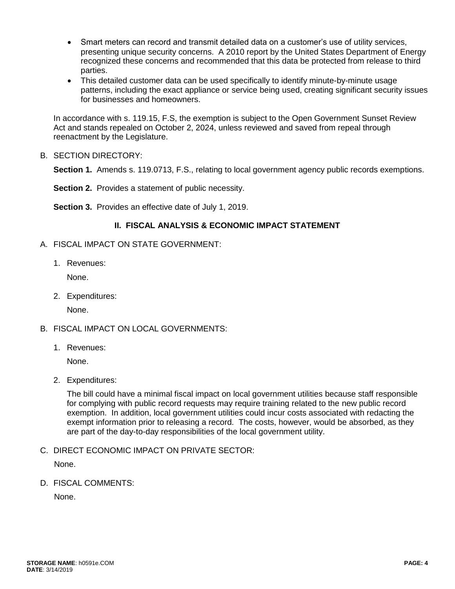- Smart meters can record and transmit detailed data on a customer's use of utility services, presenting unique security concerns. A 2010 report by the United States Department of Energy recognized these concerns and recommended that this data be protected from release to third parties.
- This detailed customer data can be used specifically to identify minute-by-minute usage patterns, including the exact appliance or service being used, creating significant security issues for businesses and homeowners.

In accordance with s. 119.15, F.S, the exemption is subject to the Open Government Sunset Review Act and stands repealed on October 2, 2024, unless reviewed and saved from repeal through reenactment by the Legislature.

B. SECTION DIRECTORY:

**Section 1.** Amends s. 119.0713, F.S., relating to local government agency public records exemptions.

**Section 2.** Provides a statement of public necessity.

**Section 3.** Provides an effective date of July 1, 2019.

# **II. FISCAL ANALYSIS & ECONOMIC IMPACT STATEMENT**

- A. FISCAL IMPACT ON STATE GOVERNMENT:
	- 1. Revenues:

None.

2. Expenditures:

None.

- B. FISCAL IMPACT ON LOCAL GOVERNMENTS:
	- 1. Revenues:

None.

2. Expenditures:

The bill could have a minimal fiscal impact on local government utilities because staff responsible for complying with public record requests may require training related to the new public record exemption. In addition, local government utilities could incur costs associated with redacting the exempt information prior to releasing a record. The costs, however, would be absorbed, as they are part of the day-to-day responsibilities of the local government utility.

C. DIRECT ECONOMIC IMPACT ON PRIVATE SECTOR:

None.

D. FISCAL COMMENTS:

None.